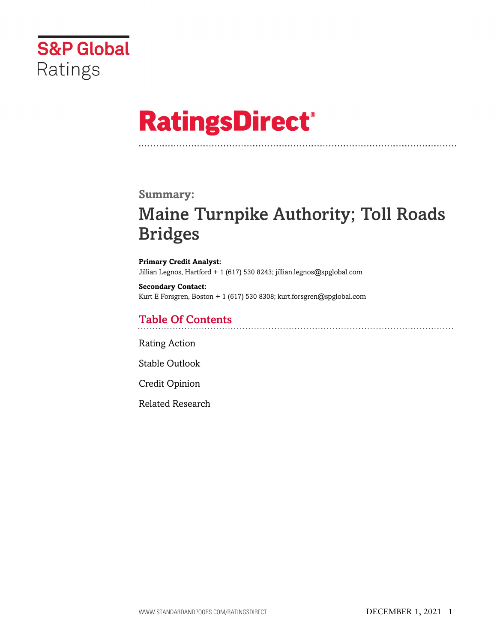

# **RatingsDirect®**

### **Summary:**

## Maine Turnpike Authority; Toll Roads Bridges

**Primary Credit Analyst:** Jillian Legnos, Hartford + 1 (617) 530 8243; jillian.legnos@spglobal.com

**Secondary Contact:** Kurt E Forsgren, Boston + 1 (617) 530 8308; kurt.forsgren@spglobal.com

## Table Of Contents

[Rating Action](#page-1-0)

[Stable Outlook](#page-3-0)

[Credit Opinion](#page-4-0)

[Related Research](#page-5-0)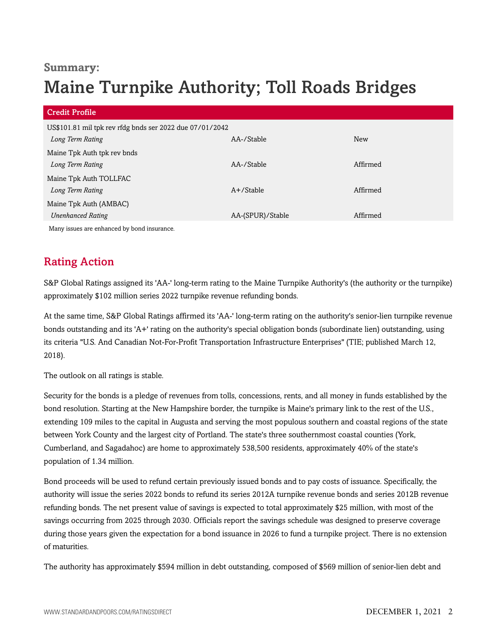## **Summary:**

## Maine Turnpike Authority; Toll Roads Bridges

| <b>Credit Profile</b>                                    |                  |            |
|----------------------------------------------------------|------------------|------------|
| US\$101.81 mil tpk rev rfdg bnds ser 2022 due 07/01/2042 |                  |            |
| Long Term Rating                                         | AA-/Stable       | <b>New</b> |
| Maine Tpk Auth tpk rev bnds                              |                  |            |
| Long Term Rating                                         | AA-/Stable       | Affirmed   |
| Maine Tpk Auth TOLLFAC                                   |                  |            |
| Long Term Rating                                         | $A+$ /Stable     | Affirmed   |
| Maine Tpk Auth (AMBAC)                                   |                  |            |
| <b>Unenhanced Rating</b>                                 | AA-(SPUR)/Stable | Affirmed   |
| Many issues are enhanced by bond insurance.              |                  |            |

## <span id="page-1-0"></span>Rating Action

S&P Global Ratings assigned its 'AA-' long-term rating to the Maine Turnpike Authority's (the authority or the turnpike) approximately \$102 million series 2022 turnpike revenue refunding bonds.

At the same time, S&P Global Ratings affirmed its 'AA-' long-term rating on the authority's senior-lien turnpike revenue bonds outstanding and its 'A+' rating on the authority's special obligation bonds (subordinate lien) outstanding, using its criteria "U.S. And Canadian Not-For-Profit Transportation Infrastructure Enterprises" (TIE; published March 12, 2018).

The outlook on all ratings is stable.

Security for the bonds is a pledge of revenues from tolls, concessions, rents, and all money in funds established by the bond resolution. Starting at the New Hampshire border, the turnpike is Maine's primary link to the rest of the U.S., extending 109 miles to the capital in Augusta and serving the most populous southern and coastal regions of the state between York County and the largest city of Portland. The state's three southernmost coastal counties (York, Cumberland, and Sagadahoc) are home to approximately 538,500 residents, approximately 40% of the state's population of 1.34 million.

Bond proceeds will be used to refund certain previously issued bonds and to pay costs of issuance. Specifically, the authority will issue the series 2022 bonds to refund its series 2012A turnpike revenue bonds and series 2012B revenue refunding bonds. The net present value of savings is expected to total approximately \$25 million, with most of the savings occurring from 2025 through 2030. Officials report the savings schedule was designed to preserve coverage during those years given the expectation for a bond issuance in 2026 to fund a turnpike project. There is no extension of maturities.

The authority has approximately \$594 million in debt outstanding, composed of \$569 million of senior-lien debt and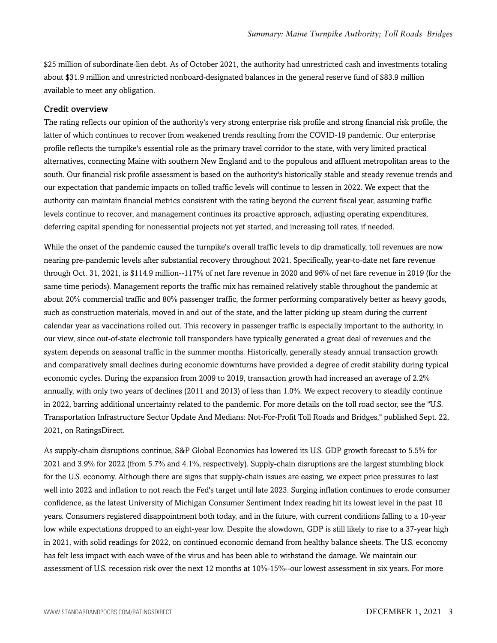\$25 million of subordinate-lien debt. As of October 2021, the authority had unrestricted cash and investments totaling about \$31.9 million and unrestricted nonboard-designated balances in the general reserve fund of \$83.9 million available to meet any obligation.

#### Credit overview

The rating reflects our opinion of the authority's very strong enterprise risk profile and strong financial risk profile, the latter of which continues to recover from weakened trends resulting from the COVID-19 pandemic. Our enterprise profile reflects the turnpike's essential role as the primary travel corridor to the state, with very limited practical alternatives, connecting Maine with southern New England and to the populous and affluent metropolitan areas to the south. Our financial risk profile assessment is based on the authority's historically stable and steady revenue trends and our expectation that pandemic impacts on tolled traffic levels will continue to lessen in 2022. We expect that the authority can maintain financial metrics consistent with the rating beyond the current fiscal year, assuming traffic levels continue to recover, and management continues its proactive approach, adjusting operating expenditures, deferring capital spending for nonessential projects not yet started, and increasing toll rates, if needed.

While the onset of the pandemic caused the turnpike's overall traffic levels to dip dramatically, toll revenues are now nearing pre-pandemic levels after substantial recovery throughout 2021. Specifically, year-to-date net fare revenue through Oct. 31, 2021, is \$114.9 million--117% of net fare revenue in 2020 and 96% of net fare revenue in 2019 (for the same time periods). Management reports the traffic mix has remained relatively stable throughout the pandemic at about 20% commercial traffic and 80% passenger traffic, the former performing comparatively better as heavy goods, such as construction materials, moved in and out of the state, and the latter picking up steam during the current calendar year as vaccinations rolled out. This recovery in passenger traffic is especially important to the authority, in our view, since out-of-state electronic toll transponders have typically generated a great deal of revenues and the system depends on seasonal traffic in the summer months. Historically, generally steady annual transaction growth and comparatively small declines during economic downturns have provided a degree of credit stability during typical economic cycles. During the expansion from 2009 to 2019, transaction growth had increased an average of 2.2% annually, with only two years of declines (2011 and 2013) of less than 1.0%. We expect recovery to steadily continue in 2022, barring additional uncertainty related to the pandemic. For more details on the toll road sector, see the "U.S. Transportation Infrastructure Sector Update And Medians: Not-For-Profit Toll Roads and Bridges," published Sept. 22, 2021, on RatingsDirect.

As supply-chain disruptions continue, S&P Global Economics has lowered its U.S. GDP growth forecast to 5.5% for 2021 and 3.9% for 2022 (from 5.7% and 4.1%, respectively). Supply-chain disruptions are the largest stumbling block for the U.S. economy. Although there are signs that supply-chain issues are easing, we expect price pressures to last well into 2022 and inflation to not reach the Fed's target until late 2023. Surging inflation continues to erode consumer confidence, as the latest University of Michigan Consumer Sentiment Index reading hit its lowest level in the past 10 years. Consumers registered disappointment both today, and in the future, with current conditions falling to a 10-year low while expectations dropped to an eight-year low. Despite the slowdown, GDP is still likely to rise to a 37-year high in 2021, with solid readings for 2022, on continued economic demand from healthy balance sheets. The U.S. economy has felt less impact with each wave of the virus and has been able to withstand the damage. We maintain our assessment of U.S. recession risk over the next 12 months at 10%-15%--our lowest assessment in six years. For more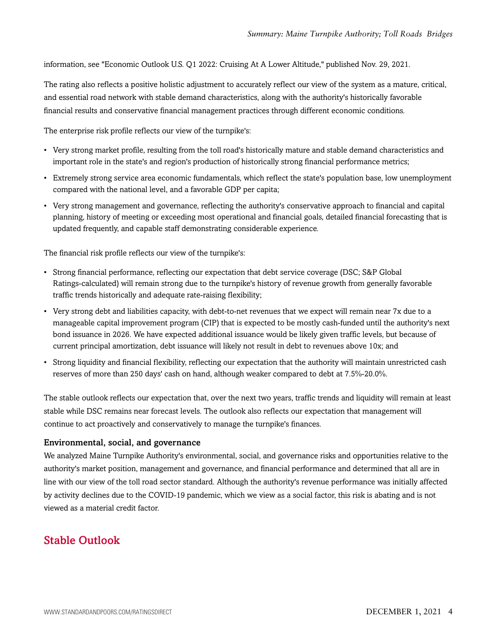information, see "Economic Outlook U.S. Q1 2022: Cruising At A Lower Altitude," published Nov. 29, 2021.

The rating also reflects a positive holistic adjustment to accurately reflect our view of the system as a mature, critical, and essential road network with stable demand characteristics, along with the authority's historically favorable financial results and conservative financial management practices through different economic conditions.

The enterprise risk profile reflects our view of the turnpike's:

- Very strong market profile, resulting from the toll road's historically mature and stable demand characteristics and important role in the state's and region's production of historically strong financial performance metrics;
- Extremely strong service area economic fundamentals, which reflect the state's population base, low unemployment compared with the national level, and a favorable GDP per capita;
- Very strong management and governance, reflecting the authority's conservative approach to financial and capital planning, history of meeting or exceeding most operational and financial goals, detailed financial forecasting that is updated frequently, and capable staff demonstrating considerable experience.

The financial risk profile reflects our view of the turnpike's:

- Strong financial performance, reflecting our expectation that debt service coverage (DSC; S&P Global Ratings-calculated) will remain strong due to the turnpike's history of revenue growth from generally favorable traffic trends historically and adequate rate-raising flexibility;
- Very strong debt and liabilities capacity, with debt-to-net revenues that we expect will remain near 7x due to a manageable capital improvement program (CIP) that is expected to be mostly cash-funded until the authority's next bond issuance in 2026. We have expected additional issuance would be likely given traffic levels, but because of current principal amortization, debt issuance will likely not result in debt to revenues above 10x; and
- Strong liquidity and financial flexibility, reflecting our expectation that the authority will maintain unrestricted cash reserves of more than 250 days' cash on hand, although weaker compared to debt at 7.5%-20.0%.

The stable outlook reflects our expectation that, over the next two years, traffic trends and liquidity will remain at least stable while DSC remains near forecast levels. The outlook also reflects our expectation that management will continue to act proactively and conservatively to manage the turnpike's finances.

#### Environmental, social, and governance

We analyzed Maine Turnpike Authority's environmental, social, and governance risks and opportunities relative to the authority's market position, management and governance, and financial performance and determined that all are in line with our view of the toll road sector standard. Although the authority's revenue performance was initially affected by activity declines due to the COVID-19 pandemic, which we view as a social factor, this risk is abating and is not viewed as a material credit factor.

## <span id="page-3-0"></span>Stable Outlook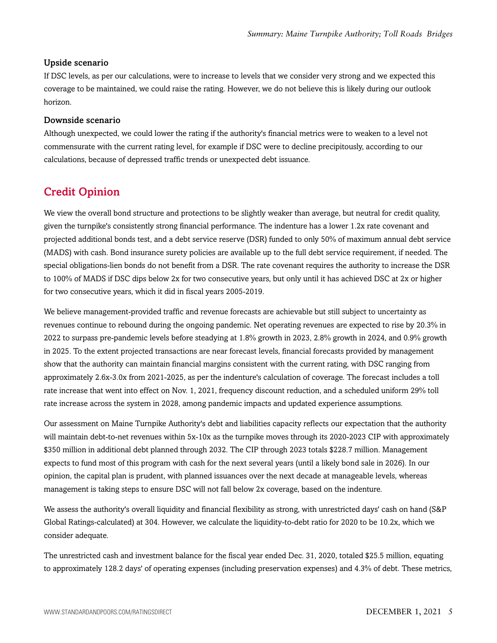#### Upside scenario

If DSC levels, as per our calculations, were to increase to levels that we consider very strong and we expected this coverage to be maintained, we could raise the rating. However, we do not believe this is likely during our outlook horizon.

#### Downside scenario

Although unexpected, we could lower the rating if the authority's financial metrics were to weaken to a level not commensurate with the current rating level, for example if DSC were to decline precipitously, according to our calculations, because of depressed traffic trends or unexpected debt issuance.

## <span id="page-4-0"></span>Credit Opinion

We view the overall bond structure and protections to be slightly weaker than average, but neutral for credit quality, given the turnpike's consistently strong financial performance. The indenture has a lower 1.2x rate covenant and projected additional bonds test, and a debt service reserve (DSR) funded to only 50% of maximum annual debt service (MADS) with cash. Bond insurance surety policies are available up to the full debt service requirement, if needed. The special obligations-lien bonds do not benefit from a DSR. The rate covenant requires the authority to increase the DSR to 100% of MADS if DSC dips below 2x for two consecutive years, but only until it has achieved DSC at 2x or higher for two consecutive years, which it did in fiscal years 2005-2019.

We believe management-provided traffic and revenue forecasts are achievable but still subject to uncertainty as revenues continue to rebound during the ongoing pandemic. Net operating revenues are expected to rise by 20.3% in 2022 to surpass pre-pandemic levels before steadying at 1.8% growth in 2023, 2.8% growth in 2024, and 0.9% growth in 2025. To the extent projected transactions are near forecast levels, financial forecasts provided by management show that the authority can maintain financial margins consistent with the current rating, with DSC ranging from approximately 2.6x-3.0x from 2021-2025, as per the indenture's calculation of coverage. The forecast includes a toll rate increase that went into effect on Nov. 1, 2021, frequency discount reduction, and a scheduled uniform 29% toll rate increase across the system in 2028, among pandemic impacts and updated experience assumptions.

Our assessment on Maine Turnpike Authority's debt and liabilities capacity reflects our expectation that the authority will maintain debt-to-net revenues within 5x-10x as the turnpike moves through its 2020-2023 CIP with approximately \$350 million in additional debt planned through 2032. The CIP through 2023 totals \$228.7 million. Management expects to fund most of this program with cash for the next several years (until a likely bond sale in 2026). In our opinion, the capital plan is prudent, with planned issuances over the next decade at manageable levels, whereas management is taking steps to ensure DSC will not fall below 2x coverage, based on the indenture.

We assess the authority's overall liquidity and financial flexibility as strong, with unrestricted days' cash on hand (S&P Global Ratings-calculated) at 304. However, we calculate the liquidity-to-debt ratio for 2020 to be 10.2x, which we consider adequate.

The unrestricted cash and investment balance for the fiscal year ended Dec. 31, 2020, totaled \$25.5 million, equating to approximately 128.2 days' of operating expenses (including preservation expenses) and 4.3% of debt. These metrics,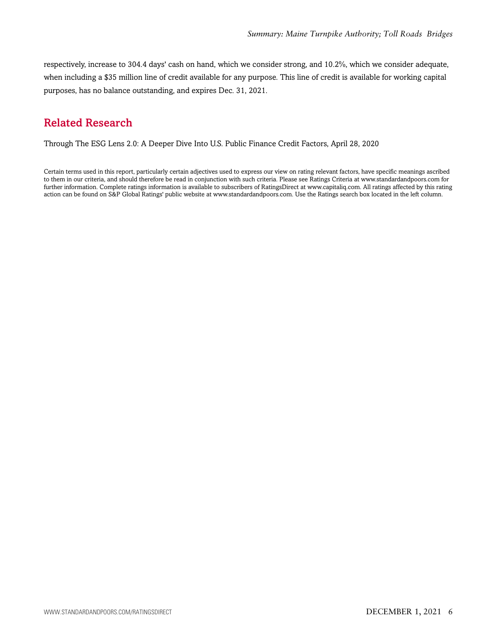respectively, increase to 304.4 days' cash on hand, which we consider strong, and 10.2%, which we consider adequate, when including a \$35 million line of credit available for any purpose. This line of credit is available for working capital purposes, has no balance outstanding, and expires Dec. 31, 2021.

## <span id="page-5-0"></span>Related Research

Through The ESG Lens 2.0: A Deeper Dive Into U.S. Public Finance Credit Factors, April 28, 2020

Certain terms used in this report, particularly certain adjectives used to express our view on rating relevant factors, have specific meanings ascribed to them in our criteria, and should therefore be read in conjunction with such criteria. Please see Ratings Criteria at www.standardandpoors.com for further information. Complete ratings information is available to subscribers of RatingsDirect at www.capitaliq.com. All ratings affected by this rating action can be found on S&P Global Ratings' public website at www.standardandpoors.com. Use the Ratings search box located in the left column.